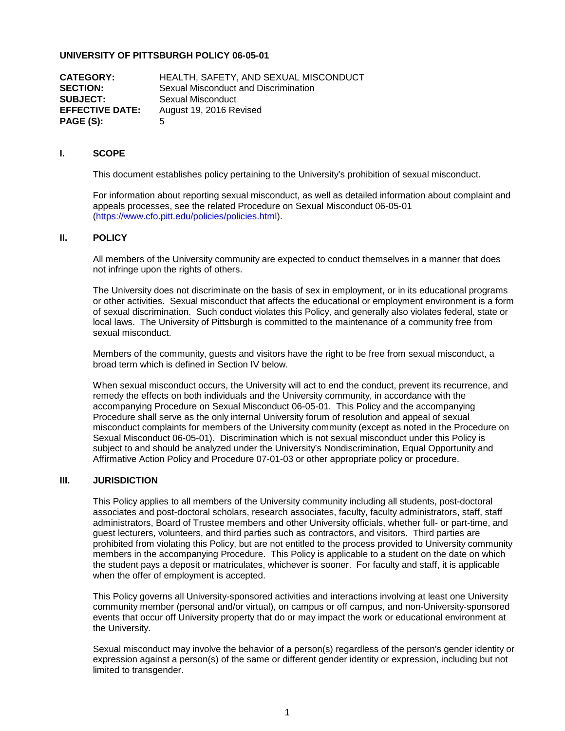# **UNIVERSITY OF PITTSBURGH POLICY 06-05-01**

**CATEGORY:** HEALTH, SAFETY, AND SEXUAL MISCONDUCT<br>**SECTION:** Sexual Misconduct and Discrimination Sexual Misconduct and Discrimination **SUBJECT:** Sexual Misconduct **EFFECTIVE DATE:** August 19, 2016 Revised **PAGE (S):** 5

### **I. SCOPE**

This document establishes policy pertaining to the University's prohibition of sexual misconduct.

For information about reporting sexual misconduct, as well as detailed information about complaint and appeals processes, see the related Procedure on Sexual Misconduct 06-05-01 [\(https://www.cfo.pitt.edu/policies/policies.html\)](https://www.cfo.pitt.edu/policies/policies.html).

# **II. POLICY**

All members of the University community are expected to conduct themselves in a manner that does not infringe upon the rights of others.

The University does not discriminate on the basis of sex in employment, or in its educational programs or other activities. Sexual misconduct that affects the educational or employment environment is a form of sexual discrimination. Such conduct violates this Policy, and generally also violates federal, state or local laws. The University of Pittsburgh is committed to the maintenance of a community free from sexual misconduct.

Members of the community, guests and visitors have the right to be free from sexual misconduct, a broad term which is defined in Section IV below.

When sexual misconduct occurs, the University will act to end the conduct, prevent its recurrence, and remedy the effects on both individuals and the University community, in accordance with the accompanying Procedure on Sexual Misconduct 06-05-01. This Policy and the accompanying Procedure shall serve as the only internal University forum of resolution and appeal of sexual misconduct complaints for members of the University community (except as noted in the Procedure on Sexual Misconduct 06-05-01). Discrimination which is not sexual misconduct under this Policy is subject to and should be analyzed under the University's Nondiscrimination, Equal Opportunity and Affirmative Action Policy and Procedure 07-01-03 or other appropriate policy or procedure.

#### **III. JURISDICTION**

This Policy applies to all members of the University community including all students, post-doctoral associates and post-doctoral scholars, research associates, faculty, faculty administrators, staff, staff administrators, Board of Trustee members and other University officials, whether full- or part-time, and guest lecturers, volunteers, and third parties such as contractors, and visitors. Third parties are prohibited from violating this Policy, but are not entitled to the process provided to University community members in the accompanying Procedure. This Policy is applicable to a student on the date on which the student pays a deposit or matriculates, whichever is sooner. For faculty and staff, it is applicable when the offer of employment is accepted.

This Policy governs all University-sponsored activities and interactions involving at least one University community member (personal and/or virtual), on campus or off campus, and non-University-sponsored events that occur off University property that do or may impact the work or educational environment at the University.

Sexual misconduct may involve the behavior of a person(s) regardless of the person's gender identity or expression against a person(s) of the same or different gender identity or expression, including but not limited to transgender.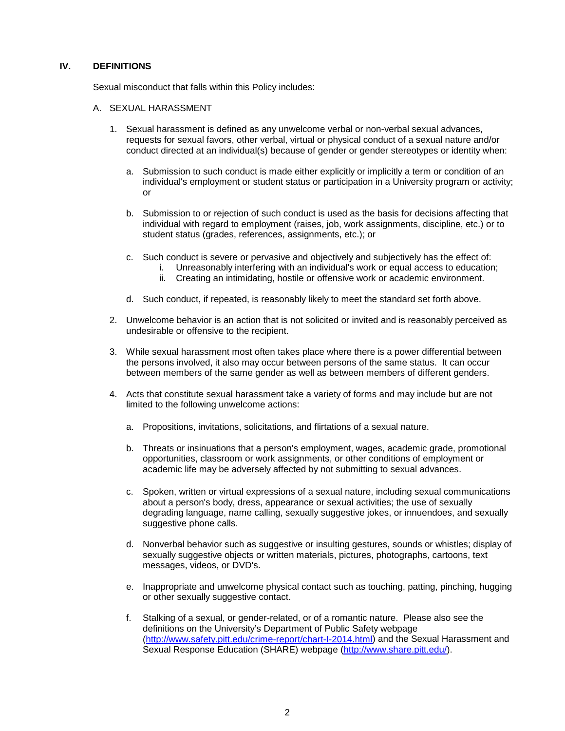### **IV. DEFINITIONS**

Sexual misconduct that falls within this Policy includes:

- A. SEXUAL HARASSMENT
	- 1. Sexual harassment is defined as any unwelcome verbal or non-verbal sexual advances, requests for sexual favors, other verbal, virtual or physical conduct of a sexual nature and/or conduct directed at an individual(s) because of gender or gender stereotypes or identity when:
		- a. Submission to such conduct is made either explicitly or implicitly a term or condition of an individual's employment or student status or participation in a University program or activity; or
		- b. Submission to or rejection of such conduct is used as the basis for decisions affecting that individual with regard to employment (raises, job, work assignments, discipline, etc.) or to student status (grades, references, assignments, etc.); or
		- c. Such conduct is severe or pervasive and objectively and subjectively has the effect of:
			- i. Unreasonably interfering with an individual's work or equal access to education;
			- ii. Creating an intimidating, hostile or offensive work or academic environment.
		- d. Such conduct, if repeated, is reasonably likely to meet the standard set forth above.
	- 2. Unwelcome behavior is an action that is not solicited or invited and is reasonably perceived as undesirable or offensive to the recipient.
	- 3. While sexual harassment most often takes place where there is a power differential between the persons involved, it also may occur between persons of the same status. It can occur between members of the same gender as well as between members of different genders.
	- 4. Acts that constitute sexual harassment take a variety of forms and may include but are not limited to the following unwelcome actions:
		- a. Propositions, invitations, solicitations, and flirtations of a sexual nature.
		- b. Threats or insinuations that a person's employment, wages, academic grade, promotional opportunities, classroom or work assignments, or other conditions of employment or academic life may be adversely affected by not submitting to sexual advances.
		- c. Spoken, written or virtual expressions of a sexual nature, including sexual communications about a person's body, dress, appearance or sexual activities; the use of sexually degrading language, name calling, sexually suggestive jokes, or innuendoes, and sexually suggestive phone calls.
		- d. Nonverbal behavior such as suggestive or insulting gestures, sounds or whistles; display of sexually suggestive objects or written materials, pictures, photographs, cartoons, text messages, videos, or DVD's.
		- e. Inappropriate and unwelcome physical contact such as touching, patting, pinching, hugging or other sexually suggestive contact.
		- f. Stalking of a sexual, or gender-related, or of a romantic nature. Please also see the definitions on the University's Department of Public Safety webpage [\(http://www.safety.pitt.edu/crime-report/chart-I-2014.html\)](http://www.safety.pitt.edu/crime-report/chart-I-2014.html) and the Sexual Harassment and Sexual Response Education (SHARE) webpage [\(http://www.share.pitt.edu/\)](http://www.share.pitt.edu/).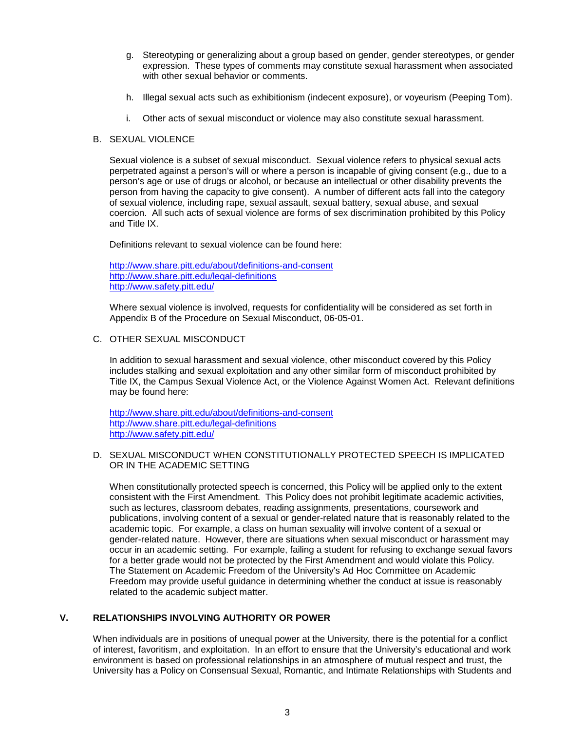- g. Stereotyping or generalizing about a group based on gender, gender stereotypes, or gender expression. These types of comments may constitute sexual harassment when associated with other sexual behavior or comments.
- h. Illegal sexual acts such as exhibitionism (indecent exposure), or voyeurism (Peeping Tom).
- i. Other acts of sexual misconduct or violence may also constitute sexual harassment.

#### B. SEXUAL VIOLENCE

Sexual violence is a subset of sexual misconduct. Sexual violence refers to physical sexual acts perpetrated against a person's will or where a person is incapable of giving consent (e.g., due to a person's age or use of drugs or alcohol, or because an intellectual or other disability prevents the person from having the capacity to give consent). A number of different acts fall into the category of sexual violence, including rape, sexual assault, sexual battery, sexual abuse, and sexual coercion. All such acts of sexual violence are forms of sex discrimination prohibited by this Policy and Title IX.

Definitions relevant to sexual violence can be found here:

<http://www.share.pitt.edu/about/definitions-and-consent> <http://www.share.pitt.edu/legal-definitions> <http://www.safety.pitt.edu/>

Where sexual violence is involved, requests for confidentiality will be considered as set forth in Appendix B of the Procedure on Sexual Misconduct, 06-05-01.

C. OTHER SEXUAL MISCONDUCT

In addition to sexual harassment and sexual violence, other misconduct covered by this Policy includes stalking and sexual exploitation and any other similar form of misconduct prohibited by Title IX, the Campus Sexual Violence Act, or the Violence Against Women Act. Relevant definitions may be found here:

<http://www.share.pitt.edu/about/definitions-and-consent> <http://www.share.pitt.edu/legal-definitions> <http://www.safety.pitt.edu/>

D. SEXUAL MISCONDUCT WHEN CONSTITUTIONALLY PROTECTED SPEECH IS IMPLICATED OR IN THE ACADEMIC SETTING

When constitutionally protected speech is concerned, this Policy will be applied only to the extent consistent with the First Amendment. This Policy does not prohibit legitimate academic activities, such as lectures, classroom debates, reading assignments, presentations, coursework and publications, involving content of a sexual or gender-related nature that is reasonably related to the academic topic. For example, a class on human sexuality will involve content of a sexual or gender-related nature. However, there are situations when sexual misconduct or harassment may occur in an academic setting. For example, failing a student for refusing to exchange sexual favors for a better grade would not be protected by the First Amendment and would violate this Policy. The Statement on Academic Freedom of the University's Ad Hoc Committee on Academic Freedom may provide useful guidance in determining whether the conduct at issue is reasonably related to the academic subject matter.

#### **V. RELATIONSHIPS INVOLVING AUTHORITY OR POWER**

When individuals are in positions of unequal power at the University, there is the potential for a conflict of interest, favoritism, and exploitation. In an effort to ensure that the University's educational and work environment is based on professional relationships in an atmosphere of mutual respect and trust, the University has a Policy on Consensual Sexual, Romantic, and Intimate Relationships with Students and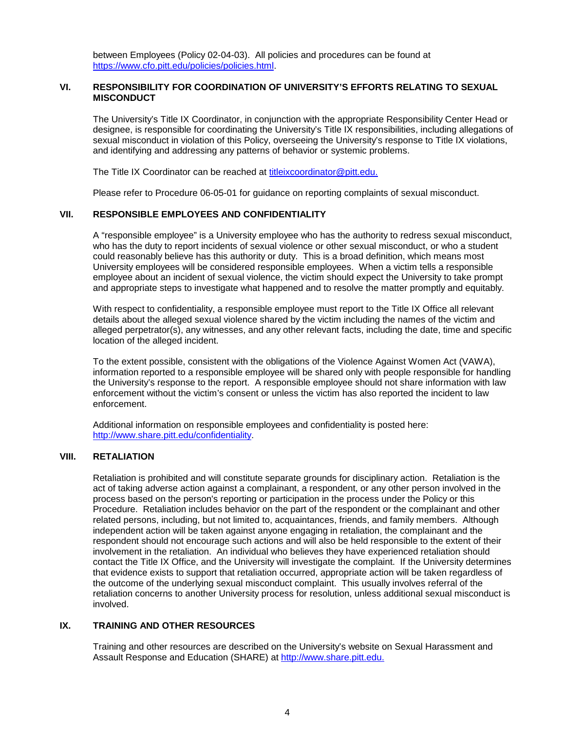between Employees (Policy 02-04-03). All policies and procedures can be found at [https://www.cfo.pitt.edu/policies/policies.html.](https://www.cfo.pitt.edu/policies/policies.html)

# **VI. RESPONSIBILITY FOR COORDINATION OF UNIVERSITY'S EFFORTS RELATING TO SEXUAL MISCONDUCT**

The University's Title IX Coordinator, in conjunction with the appropriate Responsibility Center Head or designee, is responsible for coordinating the University's Title IX responsibilities, including allegations of sexual misconduct in violation of this Policy, overseeing the University's response to Title IX violations, and identifying and addressing any patterns of behavior or systemic problems.

The Title IX Coordinator can be reached at [titleixcoordinator@pitt.edu.](mailto:titleixcoordinator@pitt.edu)

Please refer to Procedure 06-05-01 for guidance on reporting complaints of sexual misconduct.

#### **VII. RESPONSIBLE EMPLOYEES AND CONFIDENTIALITY**

A "responsible employee" is a University employee who has the authority to redress sexual misconduct, who has the duty to report incidents of sexual violence or other sexual misconduct, or who a student could reasonably believe has this authority or duty. This is a broad definition, which means most University employees will be considered responsible employees. When a victim tells a responsible employee about an incident of sexual violence, the victim should expect the University to take prompt and appropriate steps to investigate what happened and to resolve the matter promptly and equitably.

With respect to confidentiality, a responsible employee must report to the Title IX Office all relevant details about the alleged sexual violence shared by the victim including the names of the victim and alleged perpetrator(s), any witnesses, and any other relevant facts, including the date, time and specific location of the alleged incident.

To the extent possible, consistent with the obligations of the Violence Against Women Act (VAWA), information reported to a responsible employee will be shared only with people responsible for handling the University's response to the report. A responsible employee should not share information with law enforcement without the victim's consent or unless the victim has also reported the incident to law enforcement.

Additional information on responsible employees and confidentiality is posted here: [http://www.share.pitt.edu/confidentiality.](http://www.share.pitt.edu/confidentiality)

### **VIII. RETALIATION**

Retaliation is prohibited and will constitute separate grounds for disciplinary action. Retaliation is the act of taking adverse action against a complainant, a respondent, or any other person involved in the process based on the person's reporting or participation in the process under the Policy or this Procedure. Retaliation includes behavior on the part of the respondent or the complainant and other related persons, including, but not limited to, acquaintances, friends, and family members. Although independent action will be taken against anyone engaging in retaliation, the complainant and the respondent should not encourage such actions and will also be held responsible to the extent of their involvement in the retaliation. An individual who believes they have experienced retaliation should contact the Title IX Office, and the University will investigate the complaint. If the University determines that evidence exists to support that retaliation occurred, appropriate action will be taken regardless of the outcome of the underlying sexual misconduct complaint. This usually involves referral of the retaliation concerns to another University process for resolution, unless additional sexual misconduct is involved.

# **IX. TRAINING AND OTHER RESOURCES**

Training and other resources are described on the University's website on Sexual Harassment and Assault Response and Education (SHARE) at [http://www.share.pitt.edu.](http://www.share.pitt.edu/)